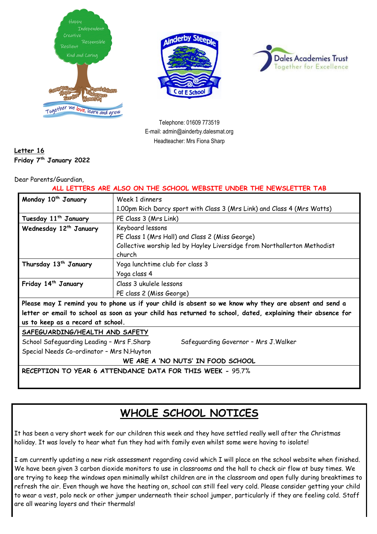





Telephone: 01609 773519 E-mail: admin@ainderby.dalesmat.org Headteacher: Mrs Fiona Sharp

### **Letter 16 Friday 7 th January 2022**

#### Dear Parents/Guardian,

#### **ALL LETTERS ARE ALSO ON THE SCHOOL WEBSITE UNDER THE NEWSLETTER TAB**

| Monday 10 <sup>th</sup> January                                                                             | Week 1 dinners                                                           |  |
|-------------------------------------------------------------------------------------------------------------|--------------------------------------------------------------------------|--|
|                                                                                                             | 1.00pm Rich Darcy sport with Class 3 (Mrs Link) and Class 4 (Mrs Watts)  |  |
| Tuesday 11 <sup>th</sup> January                                                                            | PE Class 3 (Mrs Link)                                                    |  |
| Wednesday 12 <sup>th</sup> January                                                                          | Keyboard lessons                                                         |  |
|                                                                                                             | PE Class 1 (Mrs Hall) and Class 2 (Miss George)                          |  |
|                                                                                                             | Collective worship led by Hayley Liversidge from Northallerton Methodist |  |
|                                                                                                             | church                                                                   |  |
| Thursday 13 <sup>th</sup> January                                                                           | Yoga lunchtime club for class 3                                          |  |
|                                                                                                             | Yoga class 4                                                             |  |
| Friday 14 <sup>th</sup> January                                                                             | Class 3 ukulele lessons                                                  |  |
|                                                                                                             | PE class 2 (Miss George)                                                 |  |
| Please may I remind you to phone us if your child is absent so we know why they are absent and send a       |                                                                          |  |
| letter or email to school as soon as your child has returned to school, dated, explaining their absence for |                                                                          |  |
| us to keep as a record at school.                                                                           |                                                                          |  |
| SAFEGUARDING/HEALTH AND SAFETY                                                                              |                                                                          |  |
| School Safeguarding Leading - Mrs F.Sharp<br>Safeguarding Governor - Mrs J. Walker                          |                                                                          |  |
| Special Needs Co-ordinator - Mrs N. Huyton                                                                  |                                                                          |  |
| WE ARE A 'NO NUTS' IN FOOD SCHOOL                                                                           |                                                                          |  |
| RECEPTION TO YEAR 6 ATTENDANCE DATA FOR THIS WEEK - 95.7%                                                   |                                                                          |  |

# **WHOLE SCHOOL NOTICES**

It has been a very short week for our children this week and they have settled really well after the Christmas holiday. It was lovely to hear what fun they had with family even whilst some were having to isolate!

I am currently updating a new risk assessment regarding covid which I will place on the school website when finished. We have been given 3 carbon dioxide monitors to use in classrooms and the hall to check air flow at busy times. We are trying to keep the windows open minimally whilst children are in the classroom and open fully during breaktimes to refresh the air. Even though we have the heating on, school can still feel very cold. Please consider getting your child to wear a vest, polo neck or other jumper underneath their school jumper, particularly if they are feeling cold. Staff are all wearing layers and their thermals!